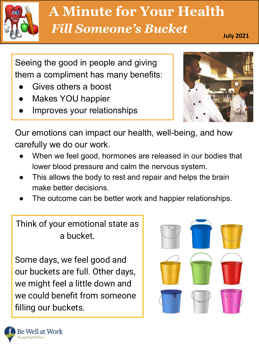

# May 2016 *Fill Someone's Bucket* **A Minute for Your Health**

**July 2021**

Seeing the good in people and giving them a compliment has many benefits:

- Gives others a boost
- Makes YOU happier
- Improves your relationships



Our emotions can impact our health, well-being, and how carefully we do our work.

- When we feel good, hormones are released in our bodies that lower blood pressure and calm the nervous system.
- This allows the body to rest and repair and helps the brain make better decisions.
- The outcome can be better work and happier relationships.

Think of your emotional state as a bucket.

Some days, we feel good and our buckets are full. Other days, we might feel a little down and we could benefit from someone filling our buckets.

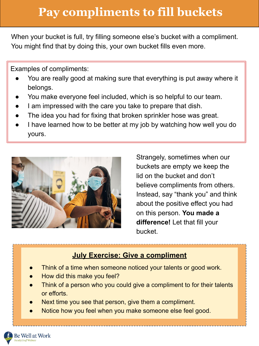## **Pay compliments to fill buckets**

When your bucket is full, try filling someone else's bucket with a compliment. You might find that by doing this, your own bucket fills even more.

Examples of compliments:

- You are really good at making sure that everything is put away where it belongs.
- You make everyone feel included, which is so helpful to our team.
- I am impressed with the care you take to prepare that dish.
- The idea you had for fixing that broken sprinkler hose was great.
- I have learned how to be better at my job by watching how well you do yours.



Strangely, sometimes when our buckets are empty we keep the lid on the bucket and don't believe compliments from others. Instead, say "thank you" and think about the positive effect you had on this person. **You made a difference!** Let that fill your bucket.

#### **July Exercise: Give a compliment**

- Think of a time when someone noticed your talents or good work.
- How did this make you feel?
- Think of a person who you could give a compliment to for their talents or efforts.
- Next time you see that person, give them a compliment.
- Notice how you feel when you make someone else feel good.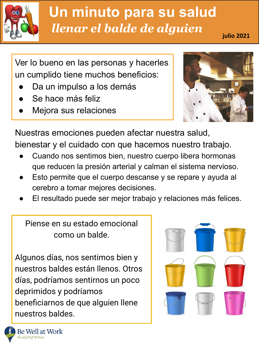

### ity u **Un minuto para su salud** *llenar el balde de alguien* **julio 2021**

Ver lo bueno en las personas y hacerles un cumplido tiene muchos beneficios:

- Da un impulso a los demás
- Se hace más feliz
- Mejora sus relaciones



Nuestras emociones pueden afectar nuestra salud, bienestar y el cuidado con que hacemos nuestro trabajo.

- Cuando nos sentimos bien, nuestro cuerpo libera hormonas que reducen la presión arterial y calman el sistema nervioso.
- Esto permite que el cuerpo descanse y se repare y ayuda al cerebro a tomar mejores decisiones.
- El resultado puede ser mejor trabajo y relaciones más felices.

Piense en su estado emocional como un balde.

Algunos días, nos sentimos bien y nuestros baldes están llenos. Otros días, podríamos sentirnos un poco deprimidos y podríamos beneficiarnos de que alguien llene nuestros baldes.

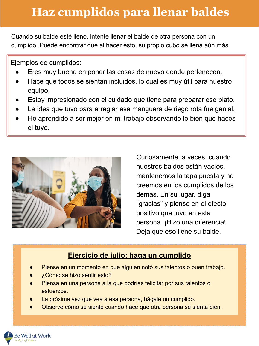## **Haz cumplidos para llenar baldes**

Cuando su balde esté lleno, intente llenar el balde de otra persona con un cumplido. Puede encontrar que al hacer esto, su propio cubo se llena aún más.

Ejemplos de cumplidos:

- Eres muy bueno en poner las cosas de nuevo donde pertenecen.
- Hace que todos se sientan incluidos, lo cual es muy útil para nuestro equipo.
- Estoy impresionado con el cuidado que tiene para preparar ese plato.
- La idea que tuvo para arreglar esa manguera de riego rota fue genial.
- He aprendido a ser mejor en mi trabajo observando lo bien que haces el tuyo.



Curiosamente, a veces, cuando nuestros baldes están vacíos, mantenemos la tapa puesta y no creemos en los cumplidos de los demás. En su lugar, diga "gracias" y piense en el efecto positivo que tuvo en esta persona. ¡Hizo una diferencia! Deja que eso llene su balde.

#### **Ejercicio de julio: haga un cumplido**

- Piense en un momento en que alguien notó sus talentos o buen trabajo.
- ¿Cómo se hizo sentir esto?
- Piensa en una persona a la que podrías felicitar por sus talentos o esfuerzos.
- La próxima vez que vea a esa persona, hágale un cumplido.
- Observe cómo se siente cuando hace que otra persona se sienta bien.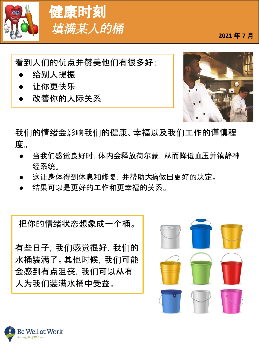

# 健康时刻 填满某人的桶 2021年7月

看到人们的优点并赞美他们有很多好:

- 给别人提振
- 让你更快乐
- 改善你的人际关系



我们的情绪会影响我们的健康、幸福以及我们工作的谨慎程 度。

- 当我们感觉良好时,体内会释放荷尔蒙,从而降低血压并镇静神 经系统。
- 这让身体得到休息和修复,并帮助大脑做出更好的决定。
- 结果可以是更好的工作和更幸福的关系。

把你的情绪状态想象成一个桶。

有些日子,我们感觉很好,我们的 水桶装满了。其他时候,我们可能 会感到有点沮丧,我们可以从有 人为我们装满水桶中受益。